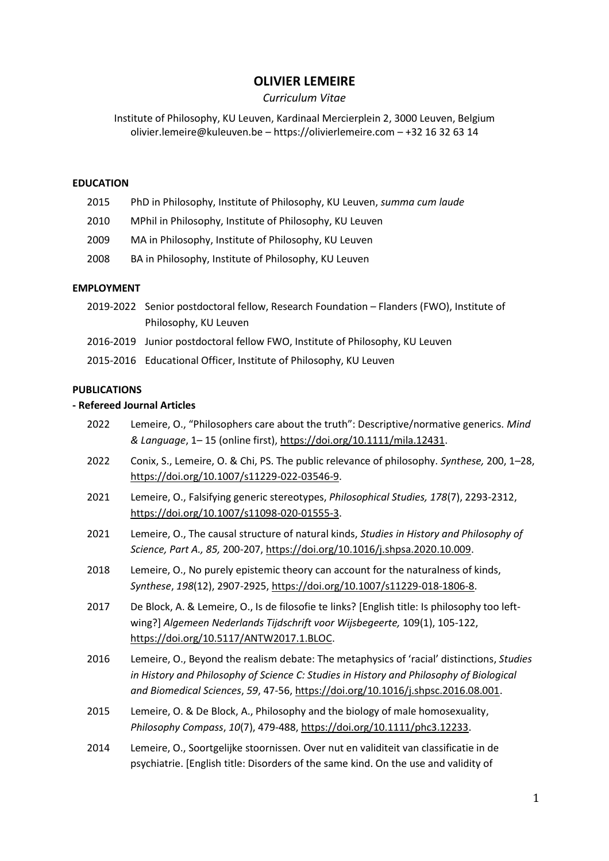# **OLIVIER LEMEIRE**

## *Curriculum Vitae*

Institute of Philosophy, KU Leuven, Kardinaal Mercierplein 2, 3000 Leuven, Belgium olivier.lemeire@kuleuven.be – https://olivierlemeire.com – +32 16 32 63 14

### **EDUCATION**

- 2015 PhD in Philosophy, Institute of Philosophy, KU Leuven, *summa cum laude*
- 2010 MPhil in Philosophy, Institute of Philosophy, KU Leuven
- 2009 MA in Philosophy, Institute of Philosophy, KU Leuven
- 2008 BA in Philosophy, Institute of Philosophy, KU Leuven

### **EMPLOYMENT**

- 2019-2022 Senior postdoctoral fellow, Research Foundation Flanders (FWO), Institute of Philosophy, KU Leuven
- 2016-2019 Junior postdoctoral fellow FWO, Institute of Philosophy, KU Leuven
- 2015-2016 Educational Officer, Institute of Philosophy, KU Leuven

#### **PUBLICATIONS**

### **- Refereed Journal Articles**

- 2022 Lemeire, O., "Philosophers care about the truth": Descriptive/normative generics. *Mind & Language*, 1– 15 (online first), [https://doi.org/10.1111/mila.12431.](https://doi.org/10.1111/mila.12431)
- 2022 Conix, S., Lemeire, O. & Chi, PS. The public relevance of philosophy. *Synthese,* 200, 1–28, [https://doi.org/10.1007/s11229-022-03546-9.](https://doi.org/10.1007/s11229-022-03546-9)
- 2021 Lemeire, O., Falsifying generic stereotypes, *Philosophical Studies, 178*(7), 2293-2312, [https://doi.org/10.1007/s11098-020-01555-3.](https://doi.org/10.1007/s11098-020-01555-3)
- 2021 Lemeire, O., The causal structure of natural kinds, *Studies in History and Philosophy of Science, Part A., 85,* 200-207[, https://doi.org/10.1016/j.shpsa.2020.10.009.](https://doi.org/10.1016/j.shpsa.2020.10.009)
- 2018 Lemeire, O., No purely epistemic theory can account for the naturalness of kinds, *Synthese*, *198*(12), 2907-2925, [https://doi.org/10.1007/s11229-018-1806-8.](https://doi.org/10.1007/s11229-018-1806-8)
- 2017 De Block, A. & Lemeire, O., Is de filosofie te links? [English title: Is philosophy too leftwing?] *Algemeen Nederlands Tijdschrift voor Wijsbegeerte,* 109(1), 105-122, [https://doi.org/10.5117/ANTW2017.1.BLOC.](https://doi.org/10.5117/ANTW2017.1.BLOC)
- 2016 Lemeire, O., Beyond the realism debate: The metaphysics of 'racial' distinctions, *Studies in History and Philosophy of Science C: Studies in History and Philosophy of Biological and Biomedical Sciences*, *59*, 47-56, [https://doi.org/10.1016/j.shpsc.2016.08.001.](https://doi.org/10.1016/j.shpsc.2016.08.001)
- 2015 Lemeire, O. & De Block, A., Philosophy and the biology of male homosexuality, *Philosophy Compass*, *10*(7), 479-488, [https://doi.org/10.1111/phc3.12233.](https://doi.org/10.1111/phc3.12233)
- 2014 Lemeire, O., Soortgelijke stoornissen. Over nut en validiteit van classificatie in de psychiatrie. [English title: Disorders of the same kind. On the use and validity of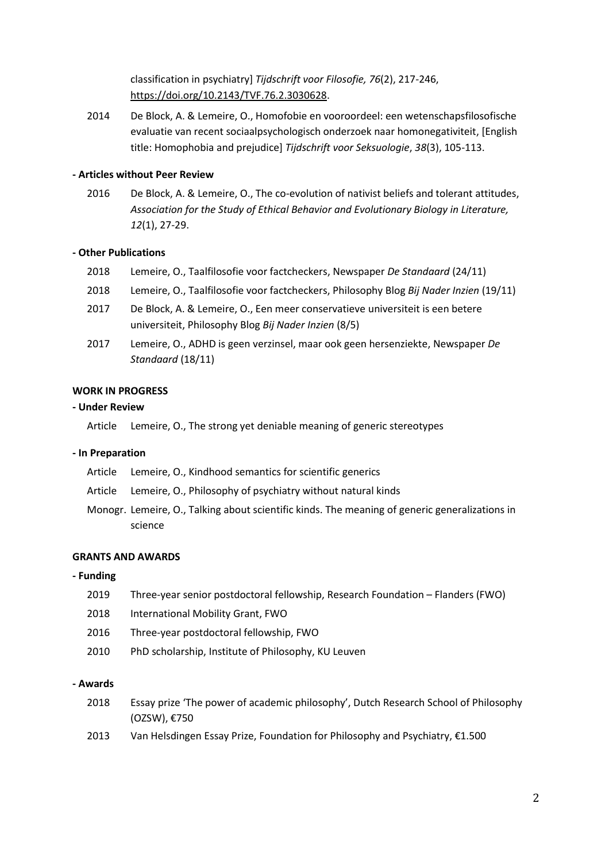classification in psychiatry] *Tijdschrift voor Filosofie, 76*(2), 217-246, [https://doi.org/10.2143/TVF.76.2.3030628.](https://doi.org/10.2143/TVF.76.2.3030628)

2014 De Block, A. & Lemeire, O., Homofobie en vooroordeel: een wetenschapsfilosofische evaluatie van recent sociaalpsychologisch onderzoek naar homonegativiteit, [English title: Homophobia and prejudice] *Tijdschrift voor Seksuologie*, *38*(3), 105-113.

## **- Articles without Peer Review**

2016 De Block, A. & Lemeire, O., The co-evolution of nativist beliefs and tolerant attitudes, *Association for the Study of Ethical Behavior and Evolutionary Biology in Literature, 12*(1), 27-29.

#### **- Other Publications**

- 2018 Lemeire, O., Taalfilosofie voor factcheckers, Newspaper *De Standaard* (24/11)
- 2018 Lemeire, O., Taalfilosofie voor factcheckers, Philosophy Blog *Bij Nader Inzien* (19/11)
- 2017 De Block, A. & Lemeire, O., Een meer conservatieve universiteit is een betere universiteit, Philosophy Blog *Bij Nader Inzien* (8/5)
- 2017 Lemeire, O., ADHD is geen verzinsel, maar ook geen hersenziekte, Newspaper *De Standaard* (18/11)

## **WORK IN PROGRESS**

### **- Under Review**

Article Lemeire, O., The strong yet deniable meaning of generic stereotypes

### **- In Preparation**

- Article Lemeire, O., Kindhood semantics for scientific generics
- Article Lemeire, O., Philosophy of psychiatry without natural kinds
- Monogr. Lemeire, O., Talking about scientific kinds. The meaning of generic generalizations in science

#### **GRANTS AND AWARDS**

#### **- Funding**

- 2019 Three-year senior postdoctoral fellowship, Research Foundation Flanders (FWO)
- 2018 International Mobility Grant, FWO
- 2016 Three-year postdoctoral fellowship, FWO
- 2010 PhD scholarship, Institute of Philosophy, KU Leuven

### **- Awards**

- 2018 Essay prize 'The power of academic philosophy', Dutch Research School of Philosophy (OZSW), €750
- 2013 Van Helsdingen Essay Prize, Foundation for Philosophy and Psychiatry, €1.500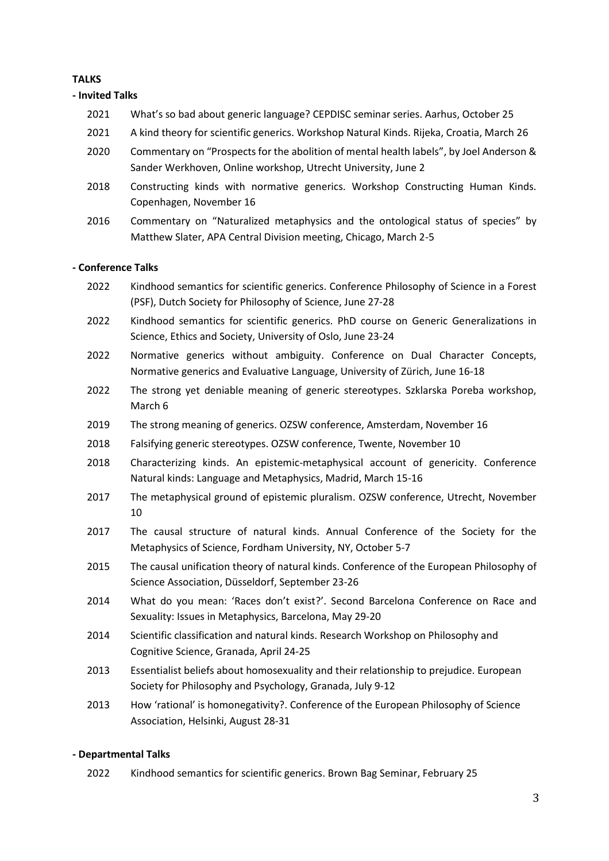# **TALKS**

**- Invited Talks**

- 2021 What's so bad about generic language? CEPDISC seminar series. Aarhus, October 25
- 2021 A kind theory for scientific generics. Workshop Natural Kinds. Rijeka, Croatia, March 26
- 2020 Commentary on "Prospects for the abolition of mental health labels", by Joel Anderson & Sander Werkhoven, Online workshop, Utrecht University, June 2
- 2018 Constructing kinds with normative generics. Workshop Constructing Human Kinds. Copenhagen, November 16
- 2016 Commentary on "Naturalized metaphysics and the ontological status of species" by Matthew Slater, APA Central Division meeting, Chicago, March 2-5

# **- Conference Talks**

- 2022 Kindhood semantics for scientific generics. Conference Philosophy of Science in a Forest (PSF), Dutch Society for Philosophy of Science, June 27-28
- 2022 Kindhood semantics for scientific generics. PhD course on Generic Generalizations in Science, Ethics and Society, University of Oslo, June 23-24
- 2022 Normative generics without ambiguity. Conference on Dual Character Concepts, Normative generics and Evaluative Language, University of Zürich, June 16-18
- 2022 The strong yet deniable meaning of generic stereotypes. Szklarska Poreba workshop, March 6
- 2019 The strong meaning of generics. OZSW conference, Amsterdam, November 16
- 2018 Falsifying generic stereotypes. OZSW conference, Twente, November 10
- 2018 Characterizing kinds. An epistemic-metaphysical account of genericity. Conference Natural kinds: Language and Metaphysics, Madrid, March 15-16
- 2017 The metaphysical ground of epistemic pluralism. OZSW conference, Utrecht, November 10
- 2017 The causal structure of natural kinds. Annual Conference of the Society for the Metaphysics of Science, Fordham University, NY, October 5-7
- 2015 The causal unification theory of natural kinds. Conference of the European Philosophy of Science Association, Düsseldorf, September 23-26
- 2014 What do you mean: 'Races don't exist?'. Second Barcelona Conference on Race and Sexuality: Issues in Metaphysics, Barcelona, May 29-20
- 2014 Scientific classification and natural kinds. Research Workshop on Philosophy and Cognitive Science, Granada, April 24-25
- 2013 Essentialist beliefs about homosexuality and their relationship to prejudice. European Society for Philosophy and Psychology, Granada, July 9-12
- 2013 How 'rational' is homonegativity?. Conference of the European Philosophy of Science Association, Helsinki, August 28-31

# **- Departmental Talks**

2022 Kindhood semantics for scientific generics. Brown Bag Seminar, February 25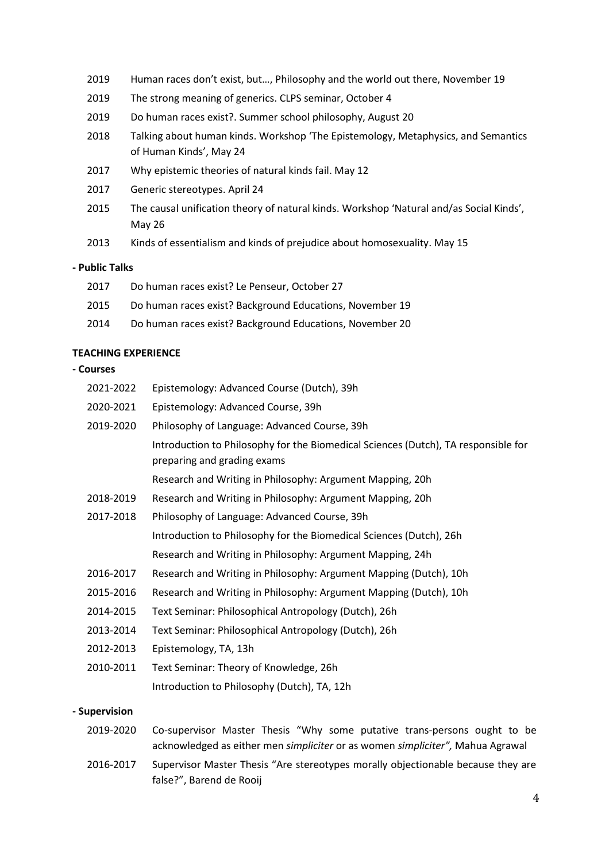- 2019 Human races don't exist, but…, Philosophy and the world out there, November 19
- 2019 The strong meaning of generics. CLPS seminar, October 4
- 2019 Do human races exist?. Summer school philosophy, August 20
- 2018 Talking about human kinds. Workshop 'The Epistemology, Metaphysics, and Semantics of Human Kinds', May 24
- 2017 Why epistemic theories of natural kinds fail. May 12
- 2017 Generic stereotypes. April 24
- 2015 The causal unification theory of natural kinds. Workshop 'Natural and/as Social Kinds', May 26
- 2013 Kinds of essentialism and kinds of prejudice about homosexuality. May 15

### **- Public Talks**

| 2017 | Do human races exist? Le Penseur, October 27             |
|------|----------------------------------------------------------|
| 2015 | Do human races exist? Background Educations, November 19 |
| 2014 | Do human races exist? Background Educations, November 20 |

# **TEACHING EXPERIENCE**

### **- Courses**

| 2021-2022  | Epistemology: Advanced Course (Dutch), 39h                                                                        |
|------------|-------------------------------------------------------------------------------------------------------------------|
| 2020-2021  | Epistemology: Advanced Course, 39h                                                                                |
| 2019-2020  | Philosophy of Language: Advanced Course, 39h                                                                      |
|            | Introduction to Philosophy for the Biomedical Sciences (Dutch), TA responsible for<br>preparing and grading exams |
|            | Research and Writing in Philosophy: Argument Mapping, 20h                                                         |
| 2018-2019  | Research and Writing in Philosophy: Argument Mapping, 20h                                                         |
| 2017-2018  | Philosophy of Language: Advanced Course, 39h                                                                      |
|            | Introduction to Philosophy for the Biomedical Sciences (Dutch), 26h                                               |
|            | Research and Writing in Philosophy: Argument Mapping, 24h                                                         |
| 2016-2017  | Research and Writing in Philosophy: Argument Mapping (Dutch), 10h                                                 |
| 2015-2016  | Research and Writing in Philosophy: Argument Mapping (Dutch), 10h                                                 |
| 2014-2015  | Text Seminar: Philosophical Antropology (Dutch), 26h                                                              |
| 2013-2014  | Text Seminar: Philosophical Antropology (Dutch), 26h                                                              |
| 2012-2013  | Epistemology, TA, 13h                                                                                             |
| 2010-2011  | Text Seminar: Theory of Knowledge, 26h                                                                            |
|            | Introduction to Philosophy (Dutch), TA, 12h                                                                       |
| unarwician |                                                                                                                   |

### **- Supervision**

- 2019-2020 Co-supervisor Master Thesis "Why some putative trans-persons ought to be acknowledged as either men *simpliciter* or as women *simpliciter",* Mahua Agrawal
- 2016-2017 Supervisor Master Thesis "Are stereotypes morally objectionable because they are false?", Barend de Rooij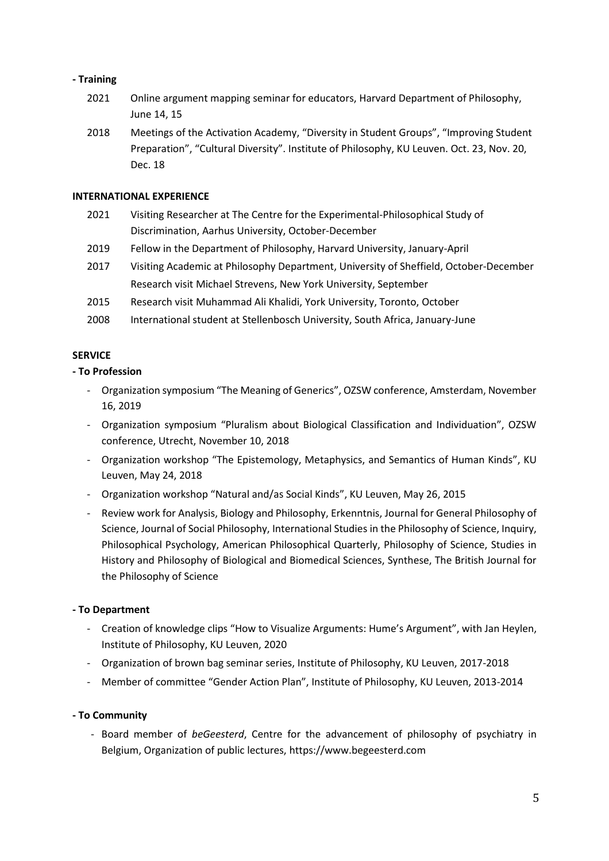# **- Training**

- 2021 Online argument mapping seminar for educators, Harvard Department of Philosophy, June 14, 15
- 2018 Meetings of the Activation Academy, "Diversity in Student Groups", "Improving Student Preparation", "Cultural Diversity". Institute of Philosophy, KU Leuven. Oct. 23, Nov. 20, Dec. 18

## **INTERNATIONAL EXPERIENCE**

- 2021 Visiting Researcher at The Centre for the Experimental-Philosophical Study of Discrimination, Aarhus University, October-December
- 2019 Fellow in the Department of Philosophy, Harvard University, January-April
- 2017 Visiting Academic at Philosophy Department, University of Sheffield, October-December Research visit Michael Strevens, New York University, September
- 2015 Research visit Muhammad Ali Khalidi, York University, Toronto, October
- 2008 International student at Stellenbosch University, South Africa, January-June

# **SERVICE**

# **- To Profession**

- Organization symposium "The Meaning of Generics", OZSW conference, Amsterdam, November 16, 2019
- Organization symposium "Pluralism about Biological Classification and Individuation", OZSW conference, Utrecht, November 10, 2018
- Organization workshop "The Epistemology, Metaphysics, and Semantics of Human Kinds", KU Leuven, May 24, 2018
- Organization workshop "Natural and/as Social Kinds", KU Leuven, May 26, 2015
- Review work for Analysis, Biology and Philosophy, Erkenntnis, Journal for General Philosophy of Science, Journal of Social Philosophy, International Studies in the Philosophy of Science, Inquiry, Philosophical Psychology, American Philosophical Quarterly, Philosophy of Science, Studies in History and Philosophy of Biological and Biomedical Sciences, Synthese, The British Journal for the Philosophy of Science

## **- To Department**

- Creation of knowledge clips "How to Visualize Arguments: Hume's Argument", with Jan Heylen, Institute of Philosophy, KU Leuven, 2020
- Organization of brown bag seminar series, Institute of Philosophy, KU Leuven, 2017-2018
- Member of committee "Gender Action Plan", Institute of Philosophy, KU Leuven, 2013-2014

## **- To Community**

- Board member of *beGeesterd*, Centre for the advancement of philosophy of psychiatry in Belgium, Organization of public lectures, https://www.begeesterd.com